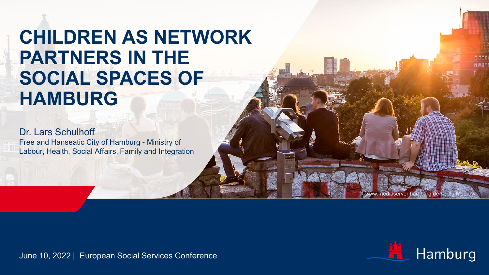## **CHILDREN AS NETWORK PARTNERS IN THE SOCIAL SPACES OF HAMBURG**

Dr. Lars Schulhoff Free and Hanseatic City of Hamburg - Ministry of Labour, Health, Social Affairs, Family and Integration

June 10, 2022 | European Social Services Conference



www.mediaserver.hamburg.de / Jörg Modrow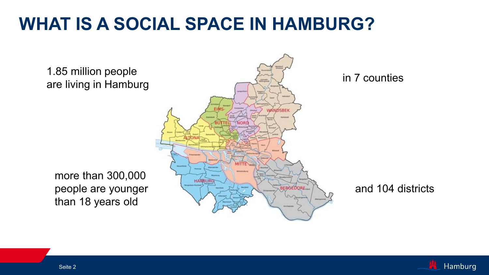### **WHAT IS A SOCIAL SPACE IN HAMBURG?**



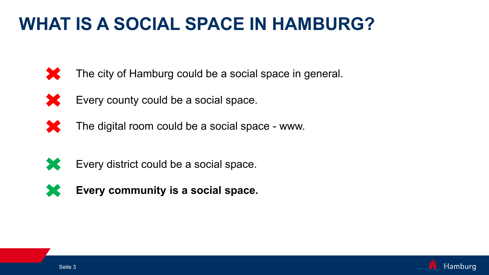### **WHAT IS A SOCIAL SPACE IN HAMBURG?**



The city of Hamburg could be a social space in general.





The digital room could be a social space - www.



Every district could be a social space.



**Every community is a social space.** 

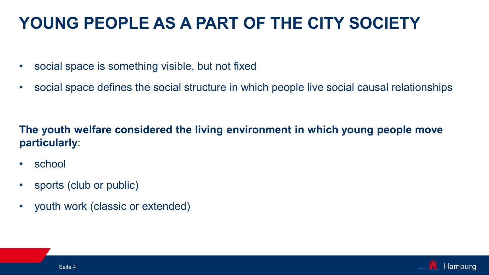#### **YOUNG PEOPLE AS A PART OF THE CITY SOCIETY**

- social space is something visible, but not fixed
- social space defines the social structure in which people live social causal relationships

#### **The youth welfare considered the living environment in which young people move particularly**:

- school
- sports (club or public)
- youth work (classic or extended)

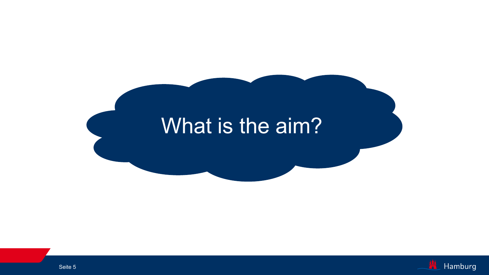# What is the aim?

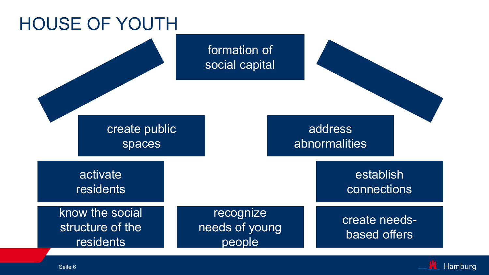